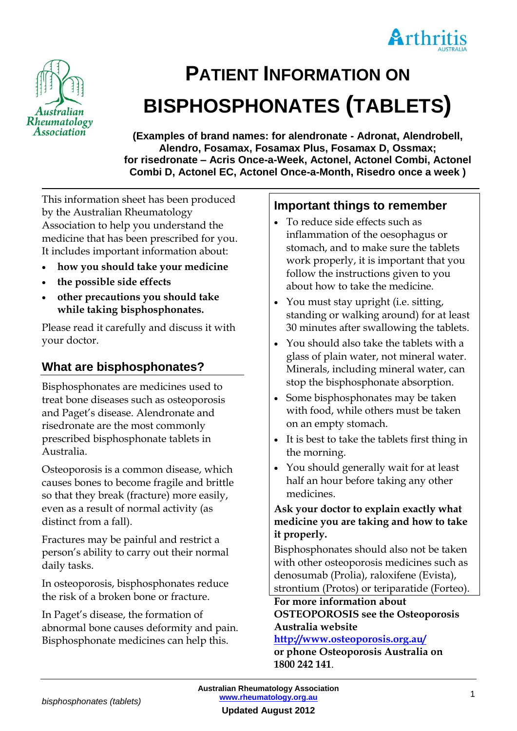



# **PATIENT INFORMATION ON BISPHOSPHONATES (TABLETS)**

**(Examples of brand names: for alendronate - Adronat, Alendrobell, Alendro, Fosamax, Fosamax Plus, Fosamax D, Ossmax; for risedronate – Acris Once-a-Week, Actonel, Actonel Combi, Actonel Combi D, Actonel EC, Actonel Once-a-Month, Risedro once a week )**

This information sheet has been produced by the Australian Rheumatology Association to help you understand the medicine that has been prescribed for you. It includes important information about:

- **how you should take your medicine**
- **the possible side effects**
- **other precautions you should take while taking bisphosphonates.**

Please read it carefully and discuss it with your doctor.

# **What are bisphosphonates?**

Bisphosphonates are medicines used to treat bone diseases such as osteoporosis and Paget's disease. Alendronate and risedronate are the most commonly prescribed bisphosphonate tablets in Australia.

Osteoporosis is a common disease, which causes bones to become fragile and brittle so that they break (fracture) more easily, even as a result of normal activity (as distinct from a fall).

Fractures may be painful and restrict a person's ability to carry out their normal daily tasks.

In osteoporosis, bisphosphonates reduce the risk of a broken bone or fracture.

In Paget's disease, the formation of abnormal bone causes deformity and pain. Bisphosphonate medicines can help this.

## **Important things to remember**

- To reduce side effects such as inflammation of the oesophagus or stomach, and to make sure the tablets work properly, it is important that you follow the instructions given to you about how to take the medicine.
- You must stay upright (i.e. sitting, standing or walking around) for at least 30 minutes after swallowing the tablets.
- You should also take the tablets with a glass of plain water, not mineral water. Minerals, including mineral water, can stop the bisphosphonate absorption.
- Some bisphosphonates may be taken with food, while others must be taken on an empty stomach.
- It is best to take the tablets first thing in the morning.
- You should generally wait for at least half an hour before taking any other medicines.

#### **Ask your doctor to explain exactly what medicine you are taking and how to take it properly.**

Bisphosphonates should also not be taken with other osteoporosis medicines such as denosumab (Prolia), raloxifene (Evista), strontium (Protos) or teriparatide (Forteo).

**For more information about OSTEOPOROSIS see the Osteoporosis Australia website** 

#### **<http://www.osteoporosis.org.au/>**

**or phone Osteoporosis Australia on 1800 242 141**.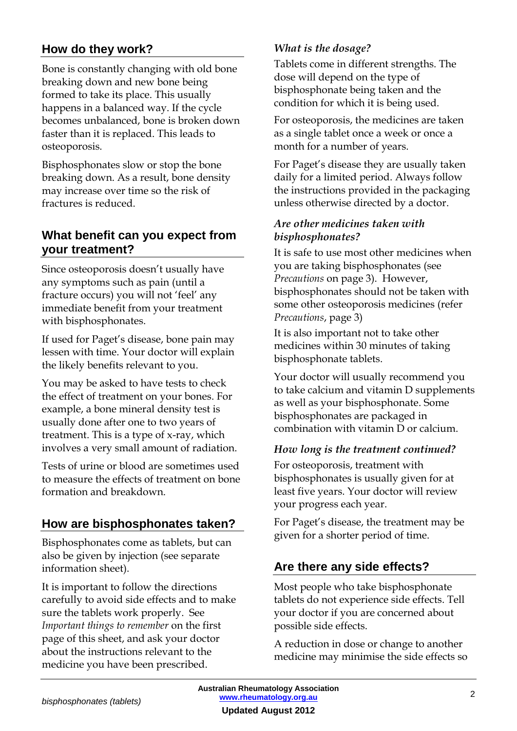# **How do they work?**

Bone is constantly changing with old bone breaking down and new bone being formed to take its place. This usually happens in a balanced way. If the cycle becomes unbalanced, bone is broken down faster than it is replaced. This leads to osteoporosis.

Bisphosphonates slow or stop the bone breaking down. As a result, bone density may increase over time so the risk of fractures is reduced.

# **What benefit can you expect from your treatment?**

Since osteoporosis doesn't usually have any symptoms such as pain (until a fracture occurs) you will not 'feel' any immediate benefit from your treatment with bisphosphonates.

If used for Paget's disease, bone pain may lessen with time. Your doctor will explain the likely benefits relevant to you.

You may be asked to have tests to check the effect of treatment on your bones. For example, a bone mineral density test is usually done after one to two years of treatment. This is a type of x-ray, which involves a very small amount of radiation.

Tests of urine or blood are sometimes used to measure the effects of treatment on bone formation and breakdown.

# **How are bisphosphonates taken?**

Bisphosphonates come as tablets, but can also be given by injection (see separate information sheet).

It is important to follow the directions carefully to avoid side effects and to make sure the tablets work properly. See *Important things to remember* on the first page of this sheet, and ask your doctor about the instructions relevant to the medicine you have been prescribed.

## *What is the dosage?*

Tablets come in different strengths. The dose will depend on the type of bisphosphonate being taken and the condition for which it is being used.

For osteoporosis, the medicines are taken as a single tablet once a week or once a month for a number of years.

For Paget's disease they are usually taken daily for a limited period. Always follow the instructions provided in the packaging unless otherwise directed by a doctor.

#### *Are other medicines taken with bisphosphonates?*

It is safe to use most other medicines when you are taking bisphosphonates (see *Precautions* on page 3). However, bisphosphonates should not be taken with some other osteoporosis medicines (refer *Precautions*, page 3)

It is also important not to take other medicines within 30 minutes of taking bisphosphonate tablets.

Your doctor will usually recommend you to take calcium and vitamin D supplements as well as your bisphosphonate. Some bisphosphonates are packaged in combination with vitamin D or calcium.

#### *How long is the treatment continued?*

For osteoporosis, treatment with bisphosphonates is usually given for at least five years. Your doctor will review your progress each year.

For Paget's disease, the treatment may be given for a shorter period of time.

# **Are there any side effects?**

Most people who take bisphosphonate tablets do not experience side effects. Tell your doctor if you are concerned about possible side effects.

A reduction in dose or change to another medicine may minimise the side effects so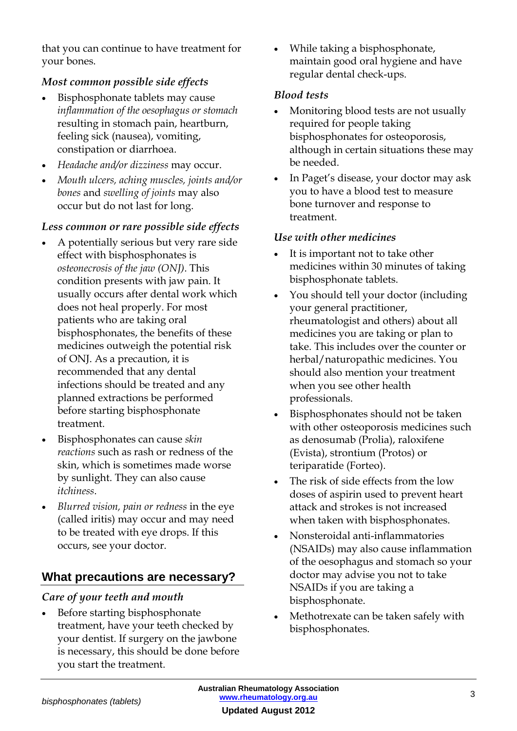that you can continue to have treatment for your bones.

## *Most common possible side effects*

- Bisphosphonate tablets may cause *inflammation of the oesophagus or stomach*  resulting in stomach pain, heartburn, feeling sick (nausea), vomiting, constipation or diarrhoea.
- *Headache and/or dizziness* may occur.
- *Mouth ulcers, aching muscles, joints and/or bones* and *swelling of joints* may also occur but do not last for long.

#### *Less common or rare possible side effects*

- A potentially serious but very rare side effect with bisphosphonates is *osteonecrosis of the jaw (ONJ)*. This condition presents with jaw pain. It usually occurs after dental work which does not heal properly. For most patients who are taking oral bisphosphonates, the benefits of these medicines outweigh the potential risk of ONJ. As a precaution, it is recommended that any dental infections should be treated and any planned extractions be performed before starting bisphosphonate treatment.
- Bisphosphonates can cause *skin reactions* such as rash or redness of the skin, which is sometimes made worse by sunlight. They can also cause *itchiness*.
- *Blurred vision, pain or redness* in the eye (called iritis) may occur and may need to be treated with eye drops. If this occurs, see your doctor.

# **What precautions are necessary?**

#### *Care of your teeth and mouth*

 Before starting bisphosphonate treatment, have your teeth checked by your dentist. If surgery on the jawbone is necessary, this should be done before you start the treatment.

 While taking a bisphosphonate, maintain good oral hygiene and have regular dental check-ups.

#### *Blood tests*

- Monitoring blood tests are not usually required for people taking bisphosphonates for osteoporosis, although in certain situations these may be needed.
- In Paget's disease, your doctor may ask you to have a blood test to measure bone turnover and response to treatment.

#### *Use with other medicines*

- It is important not to take other medicines within 30 minutes of taking bisphosphonate tablets.
- You should tell your doctor (including your general practitioner, rheumatologist and others) about all medicines you are taking or plan to take. This includes over the counter or herbal/naturopathic medicines. You should also mention your treatment when you see other health professionals.
- Bisphosphonates should not be taken with other osteoporosis medicines such as denosumab (Prolia), raloxifene (Evista), strontium (Protos) or teriparatide (Forteo).
- The risk of side effects from the low doses of aspirin used to prevent heart attack and strokes is not increased when taken with bisphosphonates.
- Nonsteroidal anti-inflammatories (NSAIDs) may also cause inflammation of the oesophagus and stomach so your doctor may advise you not to take NSAIDs if you are taking a bisphosphonate.
- Methotrexate can be taken safely with bisphosphonates.